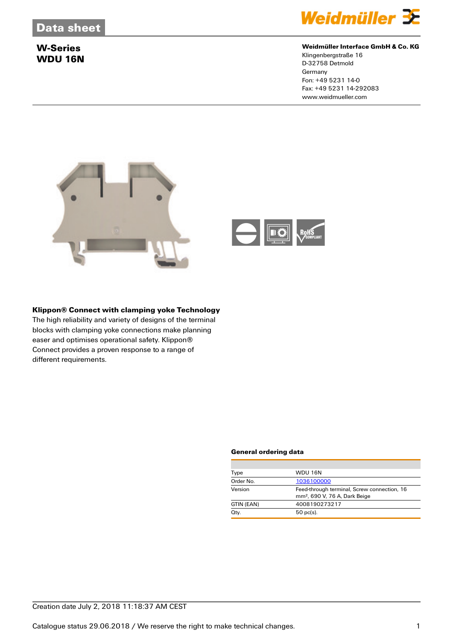

### **Weidmüller Interface GmbH & Co. KG**

Klingenbergstraße 16 D-32758 Detmold **Germany** Fon: +49 5231 14-0 Fax: +49 5231 14-292083 www.weidmueller.com



### **Klippon® Connect with clamping yoke Technology**

The high reliability and variety of designs of the terminal blocks with clamping yoke connections make planning easer and optimises operational safety. Klippon® Connect provides a proven response to a range of different requirements.

#### **General ordering data**

| Type       | <b>WDU 16N</b>                                                                           |
|------------|------------------------------------------------------------------------------------------|
| Order No.  | 1036100000                                                                               |
| Version    | Feed-through terminal, Screw connection, 16<br>mm <sup>2</sup> , 690 V, 76 A, Dark Beige |
| GTIN (EAN) | 4008190273217                                                                            |
| Qty.       | $50$ pc(s).                                                                              |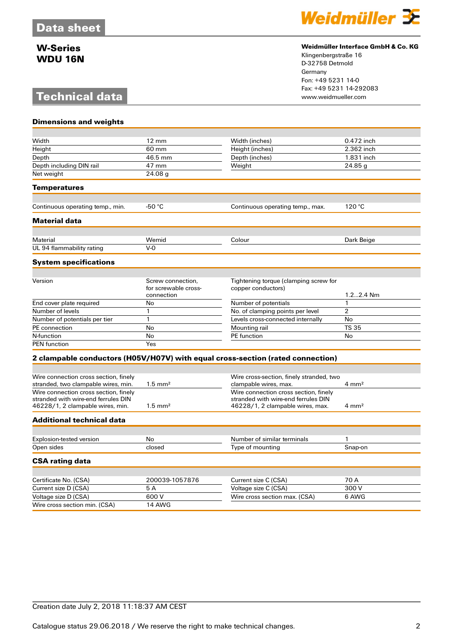# **Technical data**

**Dimensions and weights**



### **Weidmüller Interface GmbH & Co. KG**

Klingenbergstraße 16 D-32758 Detmold Germany Fon: +49 5231 14-0 Fax: +49 5231 14-292083

| Width                                 | $12 \text{ mm}$      | Width (inches)                                                                 | 0.472 inch       |
|---------------------------------------|----------------------|--------------------------------------------------------------------------------|------------------|
| Height                                | 60 mm                | Height (inches)                                                                | 2.362 inch       |
| Depth                                 | 46.5 mm              | Depth (inches)                                                                 | 1.831 inch       |
| Depth including DIN rail              | 47 mm                | Weight                                                                         | 24.85q           |
| Net weight                            | 24.08 <sub>q</sub>   |                                                                                |                  |
| <b>Temperatures</b>                   |                      |                                                                                |                  |
| Continuous operating temp., min.      | $-50 °C$             | Continuous operating temp., max.                                               | 120 °C           |
| <b>Material data</b>                  |                      |                                                                                |                  |
|                                       |                      |                                                                                |                  |
| Material                              | Wemid                | Colour                                                                         | Dark Beige       |
| UL 94 flammability rating             | $V-0$                |                                                                                |                  |
| <b>System specifications</b>          |                      |                                                                                |                  |
|                                       | Screw connection.    |                                                                                |                  |
| Version                               | for screwable cross- | Tightening torque (clamping screw for<br>copper conductors)                    |                  |
|                                       | connection           |                                                                                | 1.22.4 Nm        |
| End cover plate required              | No                   | Number of potentials                                                           | $\mathbf{1}$     |
| Number of levels                      | $\mathbf{1}$         | No. of clamping points per level                                               | $\overline{2}$   |
| Number of potentials per tier         | $\mathbf{1}$         | Levels cross-connected internally                                              | No               |
| PE connection                         | No                   | Mounting rail                                                                  | <b>TS 35</b>     |
| N-function                            | No                   | PE function                                                                    | No               |
| <b>PEN</b> function                   | Yes                  |                                                                                |                  |
|                                       |                      | 2 clampable conductors (H05V/H07V) with equal cross-section (rated connection) |                  |
| Wire connection cross section, finely |                      | Wire cross-section, finely stranded, two                                       |                  |
| stranded, two clampable wires, min.   | $1.5 \text{ mm}^2$   | clampable wires, max.                                                          | $4 \text{ mm}^2$ |
| Wire connection cross section, finely |                      | Wire connection cross section, finely                                          |                  |
| stranded with wire-end ferrules DIN   |                      | stranded with wire-end ferrules DIN                                            |                  |
| 46228/1, 2 clampable wires, min.      | $1.5 \text{ mm}^2$   | 46228/1, 2 clampable wires, max.                                               | $4 \text{ mm}^2$ |
| <b>Additional technical data</b>      |                      |                                                                                |                  |
|                                       |                      |                                                                                |                  |
| <b>Explosion-tested version</b>       | No                   | Number of similar terminals                                                    | 1                |
| Open sides                            | closed               | Type of mounting                                                               | Snap-on          |
| <b>CSA rating data</b>                |                      |                                                                                |                  |
| Certificate No. (CSA)                 | 200039-1057876       | Current size C (CSA)                                                           | 70 A             |
| Current size D (CSA)                  | 5A                   | Voltage size C (CSA)                                                           | 300 V            |
| Voltage size D (CSA)                  | 600 V                | Wire cross section max. (CSA)                                                  | 6 AWG            |
| Wire cross section min. (CSA)         | <b>14 AWG</b>        |                                                                                |                  |
|                                       |                      |                                                                                |                  |

## Creation date July 2, 2018 11:18:37 AM CEST

Catalogue status 29.06.2018 / We reserve the right to make technical changes. 2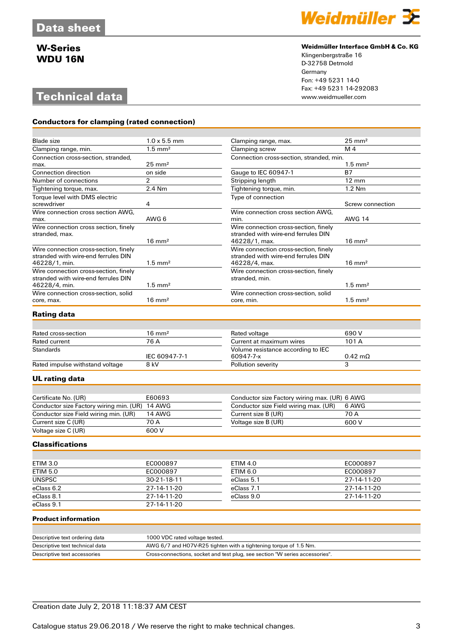# **Technical data**

**Conductors for clamping (rated connection)**



#### **Weidmüller Interface GmbH & Co. KG**

Klingenbergstraße 16 D-32758 Detmold Germany Fon: +49 5231 14-0 Fax: +49 5231 14-292083

| Blade size                                                                                    | $1.0 \times 5.5$ mm | Clamping range, max.                                                                          | $25 \text{ mm}^2$     |
|-----------------------------------------------------------------------------------------------|---------------------|-----------------------------------------------------------------------------------------------|-----------------------|
| Clamping range, min.                                                                          | $1.5 \text{ mm}^2$  | Clamping screw                                                                                | M <sub>4</sub>        |
| Connection cross-section, stranded,<br>max.                                                   | $25 \text{ mm}^2$   | Connection cross-section, stranded, min.                                                      | $1.5 \text{ mm}^2$    |
| <b>Connection direction</b>                                                                   | on side             | Gauge to IEC 60947-1                                                                          | <b>B7</b>             |
|                                                                                               |                     |                                                                                               |                       |
| Number of connections                                                                         | $\overline{2}$      | Stripping length                                                                              | $12 \text{ mm}$       |
| Tightening torque, max.                                                                       | 2.4 Nm              | Tightening torque, min.                                                                       | $1.2$ Nm              |
| Torque level with DMS electric<br>screwdriver                                                 | 4                   | Type of connection                                                                            | Screw connection      |
| Wire connection cross section AWG,                                                            |                     | Wire connection cross section AWG.                                                            |                       |
| max.                                                                                          | AWG 6               | min.                                                                                          | <b>AWG 14</b>         |
| Wire connection cross section, finely<br>stranded, max.                                       | $16 \text{ mm}^2$   | Wire connection cross-section, finely<br>stranded with wire-end ferrules DIN<br>46228/1, max. | $16 \text{ mm}^2$     |
| Wire connection cross-section, finely<br>stranded with wire-end ferrules DIN<br>46228/1, min. | $1.5 \text{ mm}^2$  | Wire connection cross-section, finely<br>stranded with wire-end ferrules DIN<br>46228/4, max. | $16 \text{ mm}^2$     |
| Wire connection cross-section, finely<br>stranded with wire-end ferrules DIN<br>46228/4, min. | $1.5 \text{ mm}^2$  | Wire connection cross-section, finely<br>stranded, min.                                       | $1.5$ mm <sup>2</sup> |
| Wire connection cross-section, solid                                                          |                     | Wire connection cross-section, solid                                                          |                       |
| core, max.                                                                                    | $16 \text{ mm}^2$   | core, min.                                                                                    | $1.5$ mm <sup>2</sup> |
| Rating data                                                                                   |                     |                                                                                               |                       |
| Rated cross-section                                                                           | $16 \text{ mm}^2$   | Rated voltage                                                                                 | 690 V                 |
| Rated current                                                                                 | 76 A                | Current at maximum wires                                                                      | 101 A                 |
| Standards                                                                                     | IEC 60947-7-1       | Volume resistance according to IEC<br>60947-7-x                                               | $0.42 \text{ mA}$     |
| Rated impulse withstand voltage                                                               | 8 kV                | Pollution severity                                                                            | 3                     |
| UL rating data                                                                                |                     |                                                                                               |                       |
|                                                                                               | E60693              |                                                                                               |                       |
| Certificate No. (UR)<br>Conductor size Factory wiring min. (UR) 14 AWG                        |                     | Conductor size Factory wiring max. (UR) 6 AWG<br>Conductor size Field wiring max. (UR)        | 6 AWG                 |
|                                                                                               | 14 AWG              |                                                                                               | 70 A                  |
| Conductor size Field wiring min. (UR)                                                         |                     | Current size B (UR)                                                                           | 600 V                 |
| Current size C (UR)                                                                           | 70 A                | Voltage size B (UR)                                                                           |                       |
| Voltage size C (UR)                                                                           | 600 V               |                                                                                               |                       |
| <b>Classifications</b>                                                                        |                     |                                                                                               |                       |
|                                                                                               |                     |                                                                                               |                       |
| <b>ETIM 3.0</b>                                                                               | EC000897            | <b>ETIM 4.0</b>                                                                               | EC000897              |
| <b>ETIM 5.0</b>                                                                               | EC000897            | <b>ETIM 6.0</b>                                                                               | EC000897              |
| <b>UNSPSC</b>                                                                                 | 30-21-18-11         | eClass 5.1                                                                                    | 27-14-11-20           |
| eClass 6.2                                                                                    | 27-14-11-20         | eClass 7.1                                                                                    | 27-14-11-20           |
| eClass 8.1                                                                                    | 27-14-11-20         | eClass 9.0                                                                                    | 27-14-11-20           |
| eClass 9.1                                                                                    | 27-14-11-20         |                                                                                               |                       |
|                                                                                               |                     |                                                                                               |                       |

### **Product information**

| Descriptive text ordering data  | 1000 VDC rated voltage tested.                                               |
|---------------------------------|------------------------------------------------------------------------------|
| Descriptive text technical data | AWG 6/7 and H07V-R25 tighten with a tightening torque of 1.5 Nm.             |
| Descriptive text accessories    | Cross-connections, socket and test plug, see section "W series accessories". |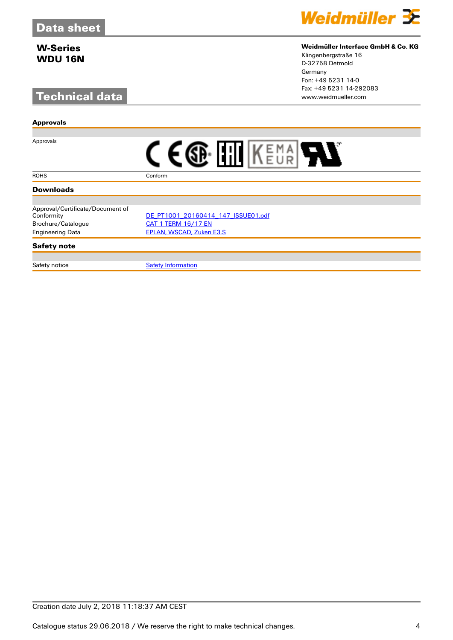# **Technical data**



### **Weidmüller Interface GmbH & Co. KG**

Klingenbergstraße 16 D-32758 Detmold Germany Fon: +49 5231 14-0 Fax: +49 5231 14-292083

| <b>Approvals</b>                 |                                    |
|----------------------------------|------------------------------------|
|                                  |                                    |
| Approvals                        |                                    |
| <b>ROHS</b>                      | Conform                            |
| <b>Downloads</b>                 |                                    |
|                                  |                                    |
| Approval/Certificate/Document of |                                    |
| Conformity                       | DE PT1001 20160414 147 ISSUE01.pdf |
| Brochure/Catalogue               | <b>CAT 1 TERM 16/17 EN</b>         |
| <b>Engineering Data</b>          | <b>EPLAN, WSCAD, Zuken E3.S</b>    |
| <b>Safety note</b>               |                                    |
|                                  |                                    |
| Safety notice                    | <b>Safety Information</b>          |